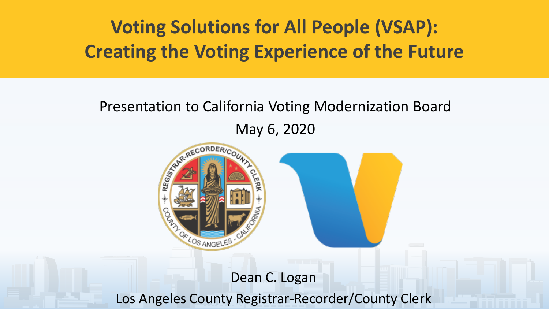## **Voting Solutions for All People (VSAP): Creating the Voting Experience of the Future**

#### Presentation to California Voting Modernization Board May 6, 2020



#### Dean C. Logan Los Angeles County Registrar-Recorder/County Clerk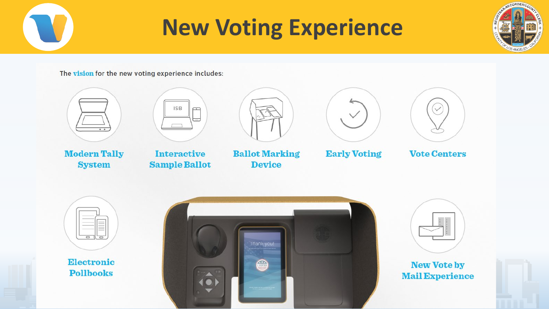# **New Voting Experience**



The vision for the new voting experience includes:



**Modern Tally System** 







**Ballot Marking Device** 



**Early Voting** 



**Vote Centers** 



**Electronic Pollbooks** 





#### **New Vote by Mail Experience**

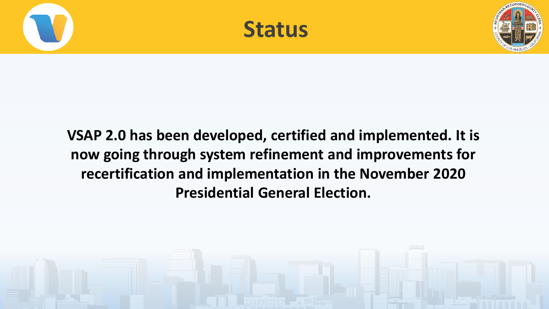



#### **VSAP 2.0 has been developed, certified and implemented. It is now going through system refinement and improvements for recertification and implementation in the November 2020 Presidential General Election.**

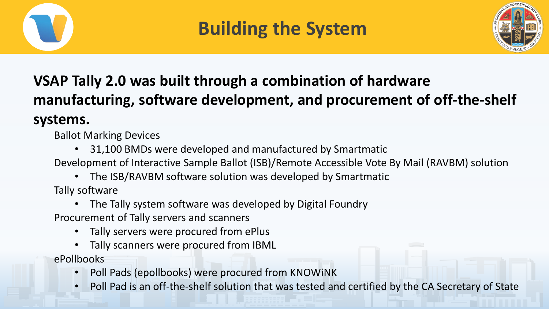

## **Building the System**



### **VSAP Tally 2.0 was built through a combination of hardware manufacturing, software development, and procurement of off-the-shelf systems.**

Ballot Marking Devices

- 31,100 BMDs were developed and manufactured by Smartmatic
- Development of Interactive Sample Ballot (ISB)/Remote Accessible Vote By Mail (RAVBM) solution
	- The ISB/RAVBM software solution was developed by Smartmatic

Tally software

• The Tally system software was developed by Digital Foundry

Procurement of Tally servers and scanners

- Tally servers were procured from ePlus
- Tally scanners were procured from IBML

ePollbooks

- Poll Pads (epollbooks) were procured from KNOWiNK
- Poll Pad is an off-the-shelf solution that was tested and certified by the CA Secretary of State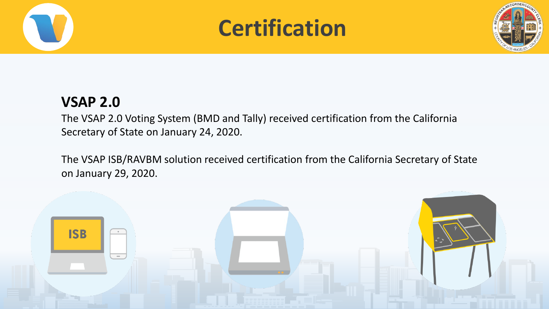





#### **VSAP 2.0**

The VSAP 2.0 Voting System (BMD and Tally) received certification from the California Secretary of State on January 24, 2020.

The VSAP ISB/RAVBM solution received certification from the California Secretary of State on January 29, 2020.

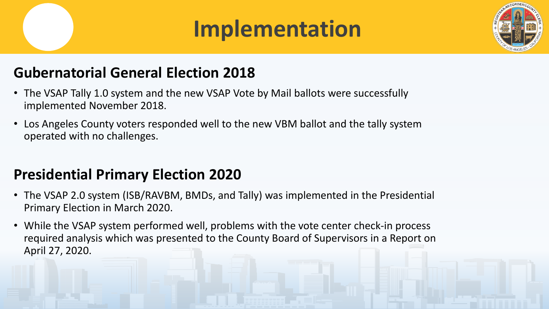# **Implementation**



#### **Gubernatorial General Election 2018**

- The VSAP Tally 1.0 system and the new VSAP Vote by Mail ballots were successfully implemented November 2018.
- Los Angeles County voters responded well to the new VBM ballot and the tally system operated with no challenges.

#### **Presidential Primary Election 2020**

- The VSAP 2.0 system (ISB/RAVBM, BMDs, and Tally) was implemented in the Presidential Primary Election in March 2020.
- While the VSAP system performed well, problems with the vote center check-in process required analysis which was presented to the County Board of Supervisors in a Report on April 27, 2020.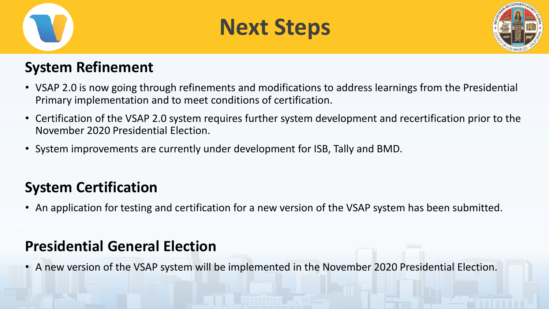





#### **System Refinement**

- VSAP 2.0 is now going through refinements and modifications to address learnings from the Presidential Primary implementation and to meet conditions of certification.
- Certification of the VSAP 2.0 system requires further system development and recertification prior to the November 2020 Presidential Election.
- System improvements are currently under development for ISB, Tally and BMD.

#### **System Certification**

• An application for testing and certification for a new version of the VSAP system has been submitted.

#### **Presidential General Election**

• A new version of the VSAP system will be implemented in the November 2020 Presidential Election.